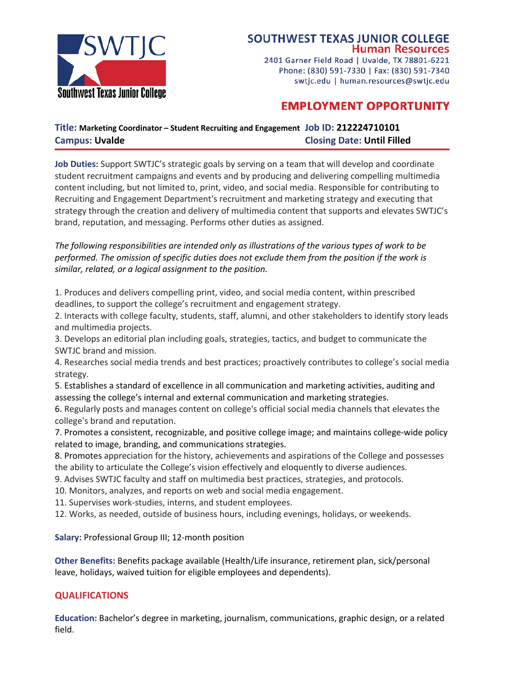

2401 Garner Field Road | Uvalde, TX 78801-6221 Phone: (830) 591-7330 | Fax: (830) 591-7340 swtjc.edu | human.resources@swtjc.edu

## **EMPLOYMENT OPPORTUNITY**

## **Title: Marketing Coordinator – Student Recruiting and Engagement Job ID: 212224710101 Campus: Uvalde Closing Date: Until Filled**

**Job Duties:** Support SWTJC's strategic goals by serving on a team that will develop and coordinate student recruitment campaigns and events and by producing and delivering compelling multimedia content including, but not limited to, print, video, and social media. Responsible for contributing to Recruiting and Engagement Department's recruitment and marketing strategy and executing that strategy through the creation and delivery of multimedia content that supports and elevates SWTJC's brand, reputation, and messaging. Performs other duties as assigned.

*The following responsibilities are intended only as illustrations of the various types of work to be performed. The omission of specific duties does not exclude them from the position if the work is similar, related, or a logical assignment to the position.*

1. Produces and delivers compelling print, video, and social media content, within prescribed deadlines, to support the college's recruitment and engagement strategy.

2. Interacts with college faculty, students, staff, alumni, and other stakeholders to identify story leads and multimedia projects.

3. Develops an editorial plan including goals, strategies, tactics, and budget to communicate the SWTJC brand and mission.

4. Researches social media trends and best practices; proactively contributes to college's social media strategy.

5. Establishes a standard of excellence in all communication and marketing activities, auditing and assessing the college's internal and external communication and marketing strategies.

6. Regularly posts and manages content on college's official social media channels that elevates the college's brand and reputation.

7. Promotes a consistent, recognizable, and positive college image; and maintains college-wide policy related to image, branding, and communications strategies.

8. Promotes appreciation for the history, achievements and aspirations of the College and possesses the ability to articulate the College's vision effectively and eloquently to diverse audiences.

- 9. Advises SWTJC faculty and staff on multimedia best practices, strategies, and protocols.
- 10. Monitors, analyzes, and reports on web and social media engagement.
- 11. Supervises work-studies, interns, and student employees.

12. Works, as needed, outside of business hours, including evenings, holidays, or weekends.

**Salary:** Professional Group III; 12-month position

**Other Benefits:** Benefits package available (Health/Life insurance, retirement plan, sick/personal leave, holidays, waived tuition for eligible employees and dependents).

## **QUALIFICATIONS**

**Education:** Bachelor's degree in marketing, journalism, communications, graphic design, or a related field.